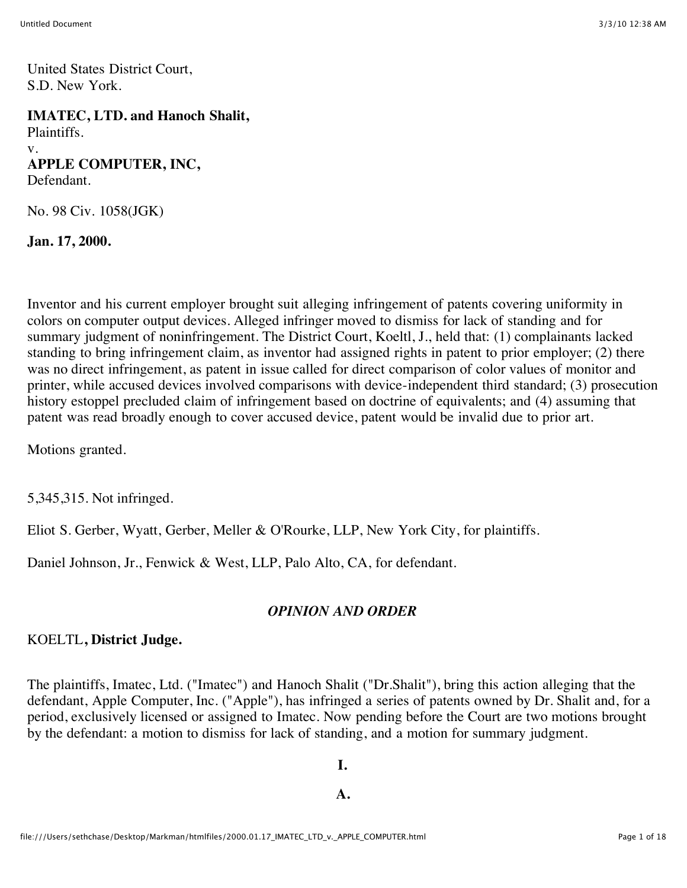United States District Court, S.D. New York.

**IMATEC, LTD. and Hanoch Shalit,** Plaintiffs. v. **APPLE COMPUTER, INC,** Defendant.

No. 98 Civ. 1058(JGK)

**Jan. 17, 2000.**

Inventor and his current employer brought suit alleging infringement of patents covering uniformity in colors on computer output devices. Alleged infringer moved to dismiss for lack of standing and for summary judgment of noninfringement. The District Court, Koeltl, J., held that: (1) complainants lacked standing to bring infringement claim, as inventor had assigned rights in patent to prior employer; (2) there was no direct infringement, as patent in issue called for direct comparison of color values of monitor and printer, while accused devices involved comparisons with device-independent third standard; (3) prosecution history estoppel precluded claim of infringement based on doctrine of equivalents; and (4) assuming that patent was read broadly enough to cover accused device, patent would be invalid due to prior art.

Motions granted.

5,345,315. Not infringed.

Eliot S. Gerber, Wyatt, Gerber, Meller & O'Rourke, LLP, New York City, for plaintiffs.

Daniel Johnson, Jr., Fenwick & West, LLP, Palo Alto, CA, for defendant.

# *OPINION AND ORDER*

# KOELTL**, District Judge.**

The plaintiffs, Imatec, Ltd. ("Imatec") and Hanoch Shalit ("Dr.Shalit"), bring this action alleging that the defendant, Apple Computer, Inc. ("Apple"), has infringed a series of patents owned by Dr. Shalit and, for a period, exclusively licensed or assigned to Imatec. Now pending before the Court are two motions brought by the defendant: a motion to dismiss for lack of standing, and a motion for summary judgment.

**I.**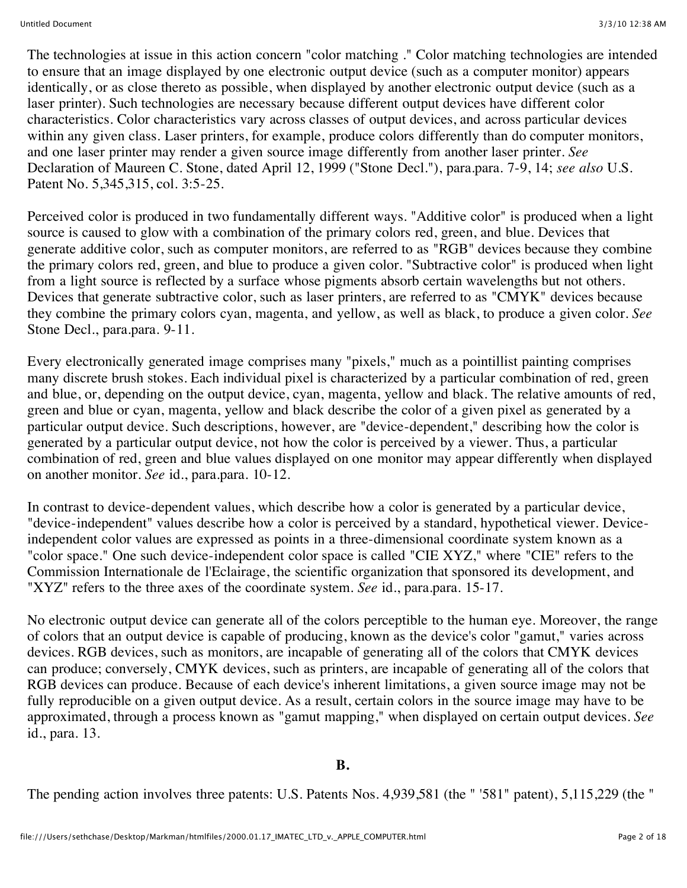The technologies at issue in this action concern "color matching ." Color matching technologies are intended to ensure that an image displayed by one electronic output device (such as a computer monitor) appears identically, or as close thereto as possible, when displayed by another electronic output device (such as a laser printer). Such technologies are necessary because different output devices have different color characteristics. Color characteristics vary across classes of output devices, and across particular devices within any given class. Laser printers, for example, produce colors differently than do computer monitors, and one laser printer may render a given source image differently from another laser printer. *See* Declaration of Maureen C. Stone, dated April 12, 1999 ("Stone Decl."), para.para. 7-9, 14; *see also* U.S. Patent No. 5,345,315, col. 3:5-25.

Perceived color is produced in two fundamentally different ways. "Additive color" is produced when a light source is caused to glow with a combination of the primary colors red, green, and blue. Devices that generate additive color, such as computer monitors, are referred to as "RGB" devices because they combine the primary colors red, green, and blue to produce a given color. "Subtractive color" is produced when light from a light source is reflected by a surface whose pigments absorb certain wavelengths but not others. Devices that generate subtractive color, such as laser printers, are referred to as "CMYK" devices because they combine the primary colors cyan, magenta, and yellow, as well as black, to produce a given color. *See* Stone Decl., para.para. 9-11.

Every electronically generated image comprises many "pixels," much as a pointillist painting comprises many discrete brush stokes. Each individual pixel is characterized by a particular combination of red, green and blue, or, depending on the output device, cyan, magenta, yellow and black. The relative amounts of red, green and blue or cyan, magenta, yellow and black describe the color of a given pixel as generated by a particular output device. Such descriptions, however, are "device-dependent," describing how the color is generated by a particular output device, not how the color is perceived by a viewer. Thus, a particular combination of red, green and blue values displayed on one monitor may appear differently when displayed on another monitor. *See* id., para.para. 10-12.

In contrast to device-dependent values, which describe how a color is generated by a particular device, "device-independent" values describe how a color is perceived by a standard, hypothetical viewer. Deviceindependent color values are expressed as points in a three-dimensional coordinate system known as a "color space." One such device-independent color space is called "CIE XYZ," where "CIE" refers to the Commission Internationale de l'Eclairage, the scientific organization that sponsored its development, and "XYZ" refers to the three axes of the coordinate system. *See* id., para.para. 15-17.

No electronic output device can generate all of the colors perceptible to the human eye. Moreover, the range of colors that an output device is capable of producing, known as the device's color "gamut," varies across devices. RGB devices, such as monitors, are incapable of generating all of the colors that CMYK devices can produce; conversely, CMYK devices, such as printers, are incapable of generating all of the colors that RGB devices can produce. Because of each device's inherent limitations, a given source image may not be fully reproducible on a given output device. As a result, certain colors in the source image may have to be approximated, through a process known as "gamut mapping," when displayed on certain output devices. *See* id., para. 13.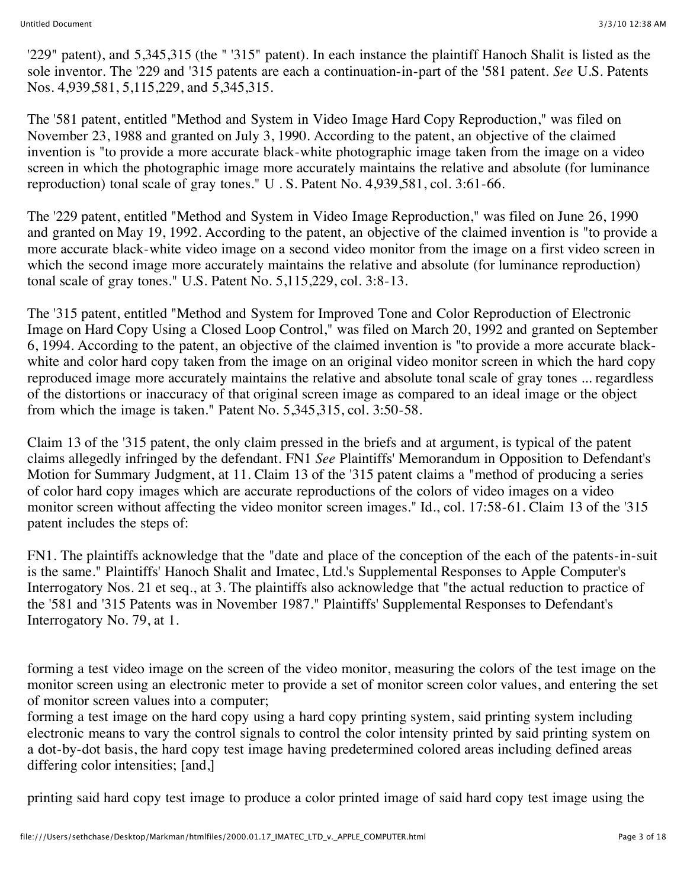'229" patent), and 5,345,315 (the " '315" patent). In each instance the plaintiff Hanoch Shalit is listed as the sole inventor. The '229 and '315 patents are each a continuation-in-part of the '581 patent. *See* U.S. Patents Nos. 4,939,581, 5,115,229, and 5,345,315.

The '581 patent, entitled "Method and System in Video Image Hard Copy Reproduction," was filed on November 23, 1988 and granted on July 3, 1990. According to the patent, an objective of the claimed invention is "to provide a more accurate black-white photographic image taken from the image on a video screen in which the photographic image more accurately maintains the relative and absolute (for luminance reproduction) tonal scale of gray tones." U . S. Patent No. 4,939,581, col. 3:61-66.

The '229 patent, entitled "Method and System in Video Image Reproduction," was filed on June 26, 1990 and granted on May 19, 1992. According to the patent, an objective of the claimed invention is "to provide a more accurate black-white video image on a second video monitor from the image on a first video screen in which the second image more accurately maintains the relative and absolute (for luminance reproduction) tonal scale of gray tones." U.S. Patent No. 5,115,229, col. 3:8-13.

The '315 patent, entitled "Method and System for Improved Tone and Color Reproduction of Electronic Image on Hard Copy Using a Closed Loop Control," was filed on March 20, 1992 and granted on September 6, 1994. According to the patent, an objective of the claimed invention is "to provide a more accurate blackwhite and color hard copy taken from the image on an original video monitor screen in which the hard copy reproduced image more accurately maintains the relative and absolute tonal scale of gray tones ... regardless of the distortions or inaccuracy of that original screen image as compared to an ideal image or the object from which the image is taken." Patent No. 5,345,315, col. 3:50-58.

Claim 13 of the '315 patent, the only claim pressed in the briefs and at argument, is typical of the patent claims allegedly infringed by the defendant. FN1 *See* Plaintiffs' Memorandum in Opposition to Defendant's Motion for Summary Judgment, at 11. Claim 13 of the '315 patent claims a "method of producing a series of color hard copy images which are accurate reproductions of the colors of video images on a video monitor screen without affecting the video monitor screen images." Id., col. 17:58-61. Claim 13 of the '315 patent includes the steps of:

FN1. The plaintiffs acknowledge that the "date and place of the conception of the each of the patents-in-suit is the same." Plaintiffs' Hanoch Shalit and Imatec, Ltd.'s Supplemental Responses to Apple Computer's Interrogatory Nos. 21 et seq., at 3. The plaintiffs also acknowledge that "the actual reduction to practice of the '581 and '315 Patents was in November 1987." Plaintiffs' Supplemental Responses to Defendant's Interrogatory No. 79, at 1.

forming a test video image on the screen of the video monitor, measuring the colors of the test image on the monitor screen using an electronic meter to provide a set of monitor screen color values, and entering the set of monitor screen values into a computer;

forming a test image on the hard copy using a hard copy printing system, said printing system including electronic means to vary the control signals to control the color intensity printed by said printing system on a dot-by-dot basis, the hard copy test image having predetermined colored areas including defined areas differing color intensities; [and,]

printing said hard copy test image to produce a color printed image of said hard copy test image using the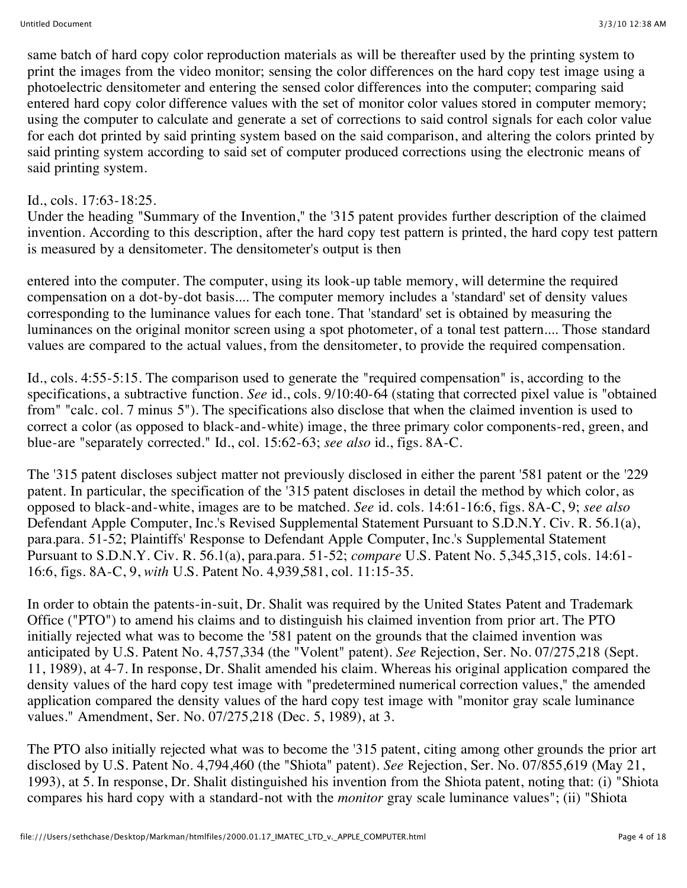same batch of hard copy color reproduction materials as will be thereafter used by the printing system to print the images from the video monitor; sensing the color differences on the hard copy test image using a photoelectric densitometer and entering the sensed color differences into the computer; comparing said entered hard copy color difference values with the set of monitor color values stored in computer memory; using the computer to calculate and generate a set of corrections to said control signals for each color value for each dot printed by said printing system based on the said comparison, and altering the colors printed by said printing system according to said set of computer produced corrections using the electronic means of said printing system.

## Id., cols. 17:63-18:25.

Under the heading "Summary of the Invention," the '315 patent provides further description of the claimed invention. According to this description, after the hard copy test pattern is printed, the hard copy test pattern is measured by a densitometer. The densitometer's output is then

entered into the computer. The computer, using its look-up table memory, will determine the required compensation on a dot-by-dot basis.... The computer memory includes a 'standard' set of density values corresponding to the luminance values for each tone. That 'standard' set is obtained by measuring the luminances on the original monitor screen using a spot photometer, of a tonal test pattern.... Those standard values are compared to the actual values, from the densitometer, to provide the required compensation.

Id., cols. 4:55-5:15. The comparison used to generate the "required compensation" is, according to the specifications, a subtractive function. *See* id., cols. 9/10:40-64 (stating that corrected pixel value is "obtained from" "calc. col. 7 minus 5"). The specifications also disclose that when the claimed invention is used to correct a color (as opposed to black-and-white) image, the three primary color components-red, green, and blue-are "separately corrected." Id., col. 15:62-63; *see also* id., figs. 8A-C.

The '315 patent discloses subject matter not previously disclosed in either the parent '581 patent or the '229 patent. In particular, the specification of the '315 patent discloses in detail the method by which color, as opposed to black-and-white, images are to be matched. *See* id. cols. 14:61-16:6, figs. 8A-C, 9; *see also* Defendant Apple Computer, Inc.'s Revised Supplemental Statement Pursuant to S.D.N.Y. Civ. R. 56.1(a), para.para. 51-52; Plaintiffs' Response to Defendant Apple Computer, Inc.'s Supplemental Statement Pursuant to S.D.N.Y. Civ. R. 56.1(a), para.para. 51-52; *compare* U.S. Patent No. 5,345,315, cols. 14:61- 16:6, figs. 8A-C, 9, *with* U.S. Patent No. 4,939,581, col. 11:15-35.

In order to obtain the patents-in-suit, Dr. Shalit was required by the United States Patent and Trademark Office ("PTO") to amend his claims and to distinguish his claimed invention from prior art. The PTO initially rejected what was to become the '581 patent on the grounds that the claimed invention was anticipated by U.S. Patent No. 4,757,334 (the "Volent" patent). *See* Rejection, Ser. No. 07/275,218 (Sept. 11, 1989), at 4-7. In response, Dr. Shalit amended his claim. Whereas his original application compared the density values of the hard copy test image with "predetermined numerical correction values," the amended application compared the density values of the hard copy test image with "monitor gray scale luminance values." Amendment, Ser. No. 07/275,218 (Dec. 5, 1989), at 3.

The PTO also initially rejected what was to become the '315 patent, citing among other grounds the prior art disclosed by U.S. Patent No. 4,794,460 (the "Shiota" patent). *See* Rejection, Ser. No. 07/855,619 (May 21, 1993), at 5. In response, Dr. Shalit distinguished his invention from the Shiota patent, noting that: (i) "Shiota compares his hard copy with a standard-not with the *monitor* gray scale luminance values"; (ii) "Shiota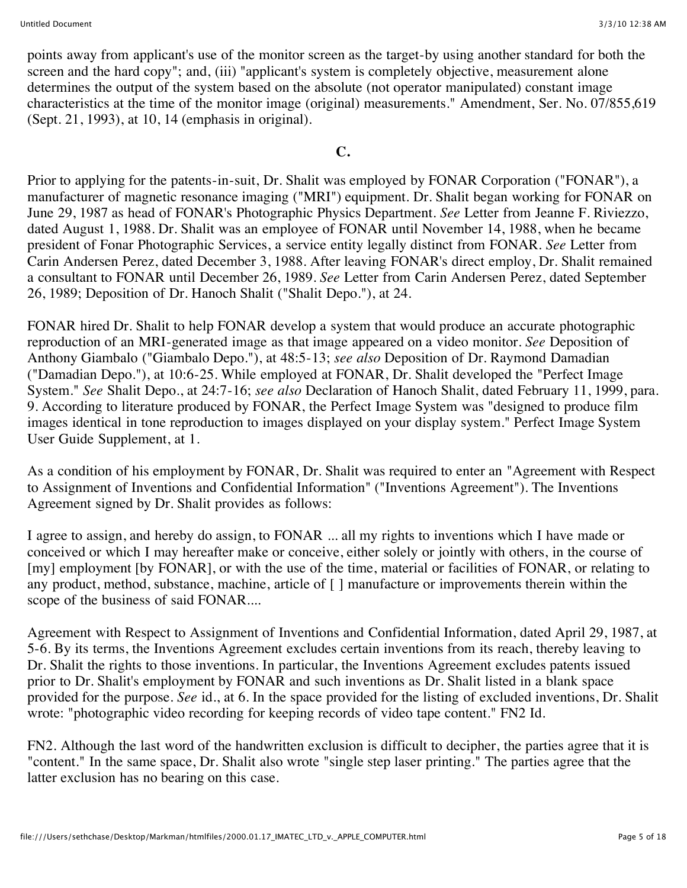points away from applicant's use of the monitor screen as the target-by using another standard for both the screen and the hard copy"; and, (iii) "applicant's system is completely objective, measurement alone determines the output of the system based on the absolute (not operator manipulated) constant image characteristics at the time of the monitor image (original) measurements." Amendment, Ser. No. 07/855,619 (Sept. 21, 1993), at 10, 14 (emphasis in original).

## **C.**

Prior to applying for the patents-in-suit, Dr. Shalit was employed by FONAR Corporation ("FONAR"), a manufacturer of magnetic resonance imaging ("MRI") equipment. Dr. Shalit began working for FONAR on June 29, 1987 as head of FONAR's Photographic Physics Department. *See* Letter from Jeanne F. Riviezzo, dated August 1, 1988. Dr. Shalit was an employee of FONAR until November 14, 1988, when he became president of Fonar Photographic Services, a service entity legally distinct from FONAR. *See* Letter from Carin Andersen Perez, dated December 3, 1988. After leaving FONAR's direct employ, Dr. Shalit remained a consultant to FONAR until December 26, 1989. *See* Letter from Carin Andersen Perez, dated September 26, 1989; Deposition of Dr. Hanoch Shalit ("Shalit Depo."), at 24.

FONAR hired Dr. Shalit to help FONAR develop a system that would produce an accurate photographic reproduction of an MRI-generated image as that image appeared on a video monitor. *See* Deposition of Anthony Giambalo ("Giambalo Depo."), at 48:5-13; *see also* Deposition of Dr. Raymond Damadian ("Damadian Depo."), at 10:6-25. While employed at FONAR, Dr. Shalit developed the "Perfect Image System." *See* Shalit Depo., at 24:7-16; *see also* Declaration of Hanoch Shalit, dated February 11, 1999, para. 9. According to literature produced by FONAR, the Perfect Image System was "designed to produce film images identical in tone reproduction to images displayed on your display system." Perfect Image System User Guide Supplement, at 1.

As a condition of his employment by FONAR, Dr. Shalit was required to enter an "Agreement with Respect to Assignment of Inventions and Confidential Information" ("Inventions Agreement"). The Inventions Agreement signed by Dr. Shalit provides as follows:

I agree to assign, and hereby do assign, to FONAR ... all my rights to inventions which I have made or conceived or which I may hereafter make or conceive, either solely or jointly with others, in the course of [my] employment [by FONAR], or with the use of the time, material or facilities of FONAR, or relating to any product, method, substance, machine, article of [ ] manufacture or improvements therein within the scope of the business of said FONAR....

Agreement with Respect to Assignment of Inventions and Confidential Information, dated April 29, 1987, at 5-6. By its terms, the Inventions Agreement excludes certain inventions from its reach, thereby leaving to Dr. Shalit the rights to those inventions. In particular, the Inventions Agreement excludes patents issued prior to Dr. Shalit's employment by FONAR and such inventions as Dr. Shalit listed in a blank space provided for the purpose. *See* id., at 6. In the space provided for the listing of excluded inventions, Dr. Shalit wrote: "photographic video recording for keeping records of video tape content." FN2 Id.

FN2. Although the last word of the handwritten exclusion is difficult to decipher, the parties agree that it is "content." In the same space, Dr. Shalit also wrote "single step laser printing." The parties agree that the latter exclusion has no bearing on this case.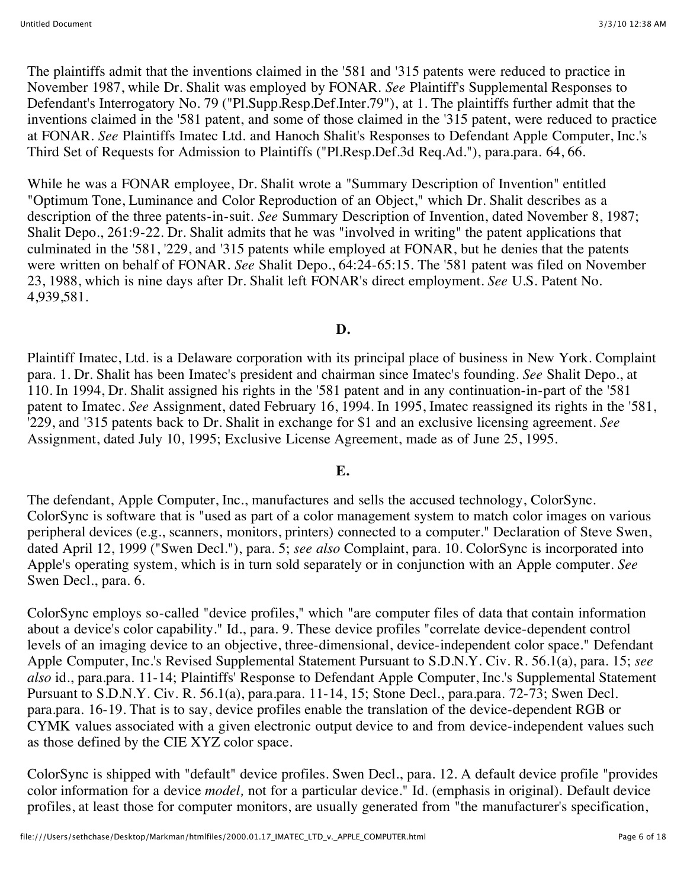The plaintiffs admit that the inventions claimed in the '581 and '315 patents were reduced to practice in November 1987, while Dr. Shalit was employed by FONAR. *See* Plaintiff's Supplemental Responses to Defendant's Interrogatory No. 79 ("Pl.Supp.Resp.Def.Inter.79"), at 1. The plaintiffs further admit that the inventions claimed in the '581 patent, and some of those claimed in the '315 patent, were reduced to practice at FONAR. *See* Plaintiffs Imatec Ltd. and Hanoch Shalit's Responses to Defendant Apple Computer, Inc.'s Third Set of Requests for Admission to Plaintiffs ("Pl.Resp.Def.3d Req.Ad."), para.para. 64, 66.

While he was a FONAR employee, Dr. Shalit wrote a "Summary Description of Invention" entitled "Optimum Tone, Luminance and Color Reproduction of an Object," which Dr. Shalit describes as a description of the three patents-in-suit. *See* Summary Description of Invention, dated November 8, 1987; Shalit Depo., 261:9-22. Dr. Shalit admits that he was "involved in writing" the patent applications that culminated in the '581, '229, and '315 patents while employed at FONAR, but he denies that the patents were written on behalf of FONAR. *See* Shalit Depo., 64:24-65:15. The '581 patent was filed on November 23, 1988, which is nine days after Dr. Shalit left FONAR's direct employment. *See* U.S. Patent No. 4,939,581.

## **D.**

Plaintiff Imatec, Ltd. is a Delaware corporation with its principal place of business in New York. Complaint para. 1. Dr. Shalit has been Imatec's president and chairman since Imatec's founding. *See* Shalit Depo., at 110. In 1994, Dr. Shalit assigned his rights in the '581 patent and in any continuation-in-part of the '581 patent to Imatec. *See* Assignment, dated February 16, 1994. In 1995, Imatec reassigned its rights in the '581, '229, and '315 patents back to Dr. Shalit in exchange for \$1 and an exclusive licensing agreement. *See* Assignment, dated July 10, 1995; Exclusive License Agreement, made as of June 25, 1995.

## **E.**

The defendant, Apple Computer, Inc., manufactures and sells the accused technology, ColorSync. ColorSync is software that is "used as part of a color management system to match color images on various peripheral devices (e.g., scanners, monitors, printers) connected to a computer." Declaration of Steve Swen, dated April 12, 1999 ("Swen Decl."), para. 5; *see also* Complaint, para. 10. ColorSync is incorporated into Apple's operating system, which is in turn sold separately or in conjunction with an Apple computer. *See* Swen Decl., para. 6.

ColorSync employs so-called "device profiles," which "are computer files of data that contain information about a device's color capability." Id., para. 9. These device profiles "correlate device-dependent control levels of an imaging device to an objective, three-dimensional, device-independent color space." Defendant Apple Computer, Inc.'s Revised Supplemental Statement Pursuant to S.D.N.Y. Civ. R. 56.1(a), para. 15; *see also* id., para.para. 11-14; Plaintiffs' Response to Defendant Apple Computer, Inc.'s Supplemental Statement Pursuant to S.D.N.Y. Civ. R. 56.1(a), para.para. 11-14, 15; Stone Decl., para.para. 72-73; Swen Decl. para.para. 16-19. That is to say, device profiles enable the translation of the device-dependent RGB or CYMK values associated with a given electronic output device to and from device-independent values such as those defined by the CIE XYZ color space.

ColorSync is shipped with "default" device profiles. Swen Decl., para. 12. A default device profile "provides color information for a device *model,* not for a particular device." Id. (emphasis in original). Default device profiles, at least those for computer monitors, are usually generated from "the manufacturer's specification,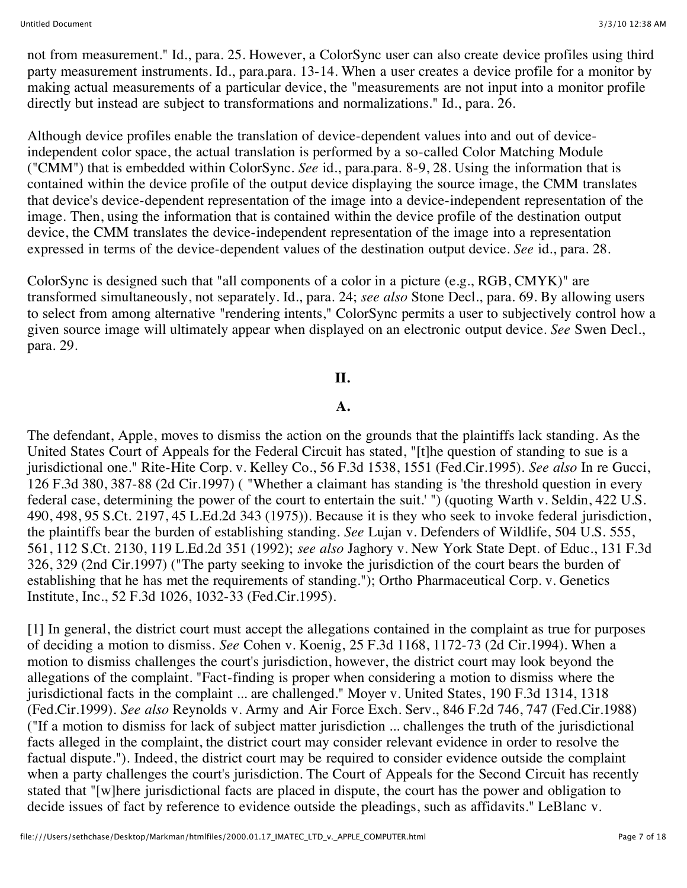not from measurement." Id., para. 25. However, a ColorSync user can also create device profiles using third party measurement instruments. Id., para.para. 13-14. When a user creates a device profile for a monitor by making actual measurements of a particular device, the "measurements are not input into a monitor profile directly but instead are subject to transformations and normalizations." Id., para. 26.

Although device profiles enable the translation of device-dependent values into and out of deviceindependent color space, the actual translation is performed by a so-called Color Matching Module ("CMM") that is embedded within ColorSync. *See* id., para.para. 8-9, 28. Using the information that is contained within the device profile of the output device displaying the source image, the CMM translates that device's device-dependent representation of the image into a device-independent representation of the image. Then, using the information that is contained within the device profile of the destination output device, the CMM translates the device-independent representation of the image into a representation expressed in terms of the device-dependent values of the destination output device. *See* id., para. 28.

ColorSync is designed such that "all components of a color in a picture (e.g., RGB, CMYK)" are transformed simultaneously, not separately. Id., para. 24; *see also* Stone Decl., para. 69. By allowing users to select from among alternative "rendering intents," ColorSync permits a user to subjectively control how a given source image will ultimately appear when displayed on an electronic output device. *See* Swen Decl., para. 29.

## **II.**

## **A.**

The defendant, Apple, moves to dismiss the action on the grounds that the plaintiffs lack standing. As the United States Court of Appeals for the Federal Circuit has stated, "[t]he question of standing to sue is a jurisdictional one." Rite-Hite Corp. v. Kelley Co., 56 F.3d 1538, 1551 (Fed.Cir.1995). *See also* In re Gucci, 126 F.3d 380, 387-88 (2d Cir.1997) ( "Whether a claimant has standing is 'the threshold question in every federal case, determining the power of the court to entertain the suit.' ") (quoting Warth v. Seldin, 422 U.S. 490, 498, 95 S.Ct. 2197, 45 L.Ed.2d 343 (1975)). Because it is they who seek to invoke federal jurisdiction, the plaintiffs bear the burden of establishing standing. *See* Lujan v. Defenders of Wildlife, 504 U.S. 555, 561, 112 S.Ct. 2130, 119 L.Ed.2d 351 (1992); *see also* Jaghory v. New York State Dept. of Educ., 131 F.3d 326, 329 (2nd Cir.1997) ("The party seeking to invoke the jurisdiction of the court bears the burden of establishing that he has met the requirements of standing."); Ortho Pharmaceutical Corp. v. Genetics Institute, Inc., 52 F.3d 1026, 1032-33 (Fed.Cir.1995).

[1] In general, the district court must accept the allegations contained in the complaint as true for purposes of deciding a motion to dismiss. *See* Cohen v. Koenig, 25 F.3d 1168, 1172-73 (2d Cir.1994). When a motion to dismiss challenges the court's jurisdiction, however, the district court may look beyond the allegations of the complaint. "Fact-finding is proper when considering a motion to dismiss where the jurisdictional facts in the complaint ... are challenged." Moyer v. United States, 190 F.3d 1314, 1318 (Fed.Cir.1999). *See also* Reynolds v. Army and Air Force Exch. Serv., 846 F.2d 746, 747 (Fed.Cir.1988) ("If a motion to dismiss for lack of subject matter jurisdiction ... challenges the truth of the jurisdictional facts alleged in the complaint, the district court may consider relevant evidence in order to resolve the factual dispute."). Indeed, the district court may be required to consider evidence outside the complaint when a party challenges the court's jurisdiction. The Court of Appeals for the Second Circuit has recently stated that "[w]here jurisdictional facts are placed in dispute, the court has the power and obligation to decide issues of fact by reference to evidence outside the pleadings, such as affidavits." LeBlanc v.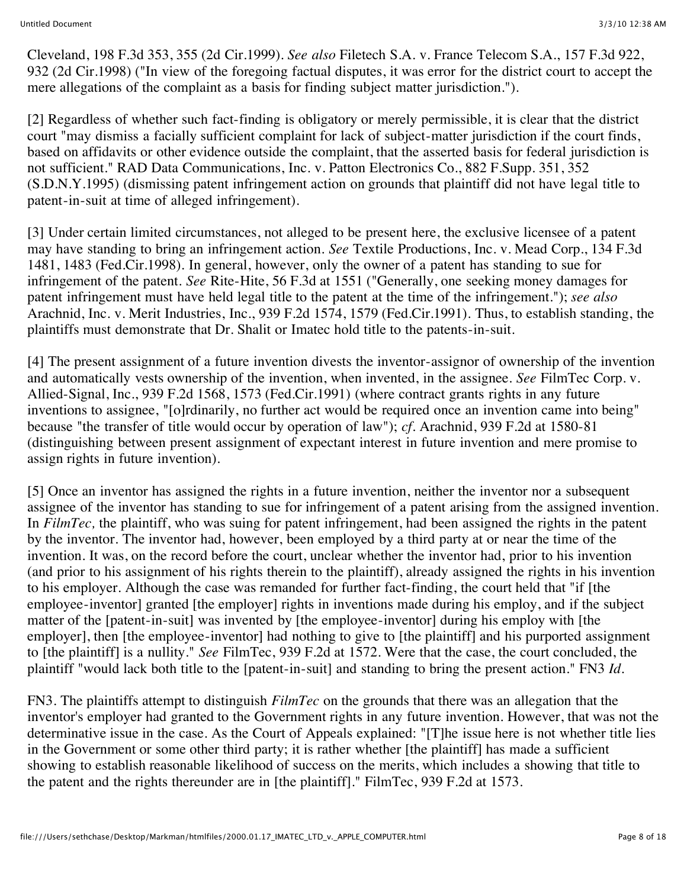Cleveland, 198 F.3d 353, 355 (2d Cir.1999). *See also* Filetech S.A. v. France Telecom S.A., 157 F.3d 922, 932 (2d Cir.1998) ("In view of the foregoing factual disputes, it was error for the district court to accept the mere allegations of the complaint as a basis for finding subject matter jurisdiction.").

[2] Regardless of whether such fact-finding is obligatory or merely permissible, it is clear that the district court "may dismiss a facially sufficient complaint for lack of subject-matter jurisdiction if the court finds, based on affidavits or other evidence outside the complaint, that the asserted basis for federal jurisdiction is not sufficient." RAD Data Communications, Inc. v. Patton Electronics Co., 882 F.Supp. 351, 352 (S.D.N.Y.1995) (dismissing patent infringement action on grounds that plaintiff did not have legal title to patent-in-suit at time of alleged infringement).

[3] Under certain limited circumstances, not alleged to be present here, the exclusive licensee of a patent may have standing to bring an infringement action. *See* Textile Productions, Inc. v. Mead Corp., 134 F.3d 1481, 1483 (Fed.Cir.1998). In general, however, only the owner of a patent has standing to sue for infringement of the patent. *See* Rite-Hite, 56 F.3d at 1551 ("Generally, one seeking money damages for patent infringement must have held legal title to the patent at the time of the infringement."); *see also* Arachnid, Inc. v. Merit Industries, Inc., 939 F.2d 1574, 1579 (Fed.Cir.1991). Thus, to establish standing, the plaintiffs must demonstrate that Dr. Shalit or Imatec hold title to the patents-in-suit.

[4] The present assignment of a future invention divests the inventor-assignor of ownership of the invention and automatically vests ownership of the invention, when invented, in the assignee. *See* FilmTec Corp. v. Allied-Signal, Inc., 939 F.2d 1568, 1573 (Fed.Cir.1991) (where contract grants rights in any future inventions to assignee, "[o]rdinarily, no further act would be required once an invention came into being" because "the transfer of title would occur by operation of law"); *cf.* Arachnid, 939 F.2d at 1580-81 (distinguishing between present assignment of expectant interest in future invention and mere promise to assign rights in future invention).

[5] Once an inventor has assigned the rights in a future invention, neither the inventor nor a subsequent assignee of the inventor has standing to sue for infringement of a patent arising from the assigned invention. In *FilmTec,* the plaintiff, who was suing for patent infringement, had been assigned the rights in the patent by the inventor. The inventor had, however, been employed by a third party at or near the time of the invention. It was, on the record before the court, unclear whether the inventor had, prior to his invention (and prior to his assignment of his rights therein to the plaintiff), already assigned the rights in his invention to his employer. Although the case was remanded for further fact-finding, the court held that "if [the employee-inventor] granted [the employer] rights in inventions made during his employ, and if the subject matter of the [patent-in-suit] was invented by [the employee-inventor] during his employ with [the employer], then [the employee-inventor] had nothing to give to [the plaintiff] and his purported assignment to [the plaintiff] is a nullity." *See* FilmTec, 939 F.2d at 1572. Were that the case, the court concluded, the plaintiff "would lack both title to the [patent-in-suit] and standing to bring the present action." FN3 *Id.*

FN3. The plaintiffs attempt to distinguish *FilmTec* on the grounds that there was an allegation that the inventor's employer had granted to the Government rights in any future invention. However, that was not the determinative issue in the case. As the Court of Appeals explained: "[T]he issue here is not whether title lies in the Government or some other third party; it is rather whether [the plaintiff] has made a sufficient showing to establish reasonable likelihood of success on the merits, which includes a showing that title to the patent and the rights thereunder are in [the plaintiff]." FilmTec, 939 F.2d at 1573.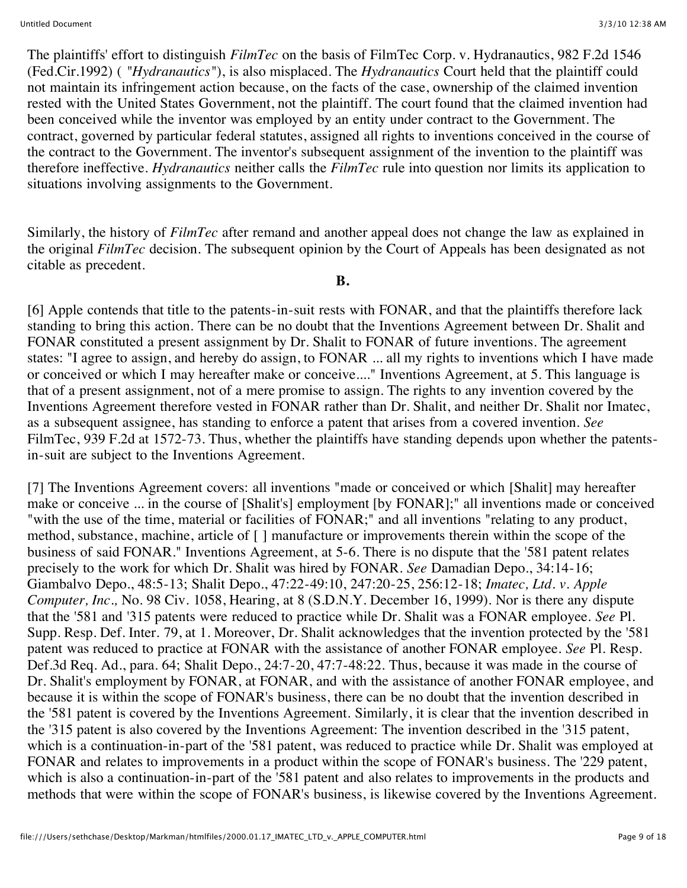The plaintiffs' effort to distinguish *FilmTec* on the basis of FilmTec Corp. v. Hydranautics, 982 F.2d 1546 (Fed.Cir.1992) ( *"Hydranautics"*), is also misplaced. The *Hydranautics* Court held that the plaintiff could not maintain its infringement action because, on the facts of the case, ownership of the claimed invention rested with the United States Government, not the plaintiff. The court found that the claimed invention had been conceived while the inventor was employed by an entity under contract to the Government. The contract, governed by particular federal statutes, assigned all rights to inventions conceived in the course of the contract to the Government. The inventor's subsequent assignment of the invention to the plaintiff was therefore ineffective. *Hydranautics* neither calls the *FilmTec* rule into question nor limits its application to situations involving assignments to the Government.

Similarly, the history of *FilmTec* after remand and another appeal does not change the law as explained in the original *FilmTec* decision. The subsequent opinion by the Court of Appeals has been designated as not citable as precedent.

#### **B.**

[6] Apple contends that title to the patents-in-suit rests with FONAR, and that the plaintiffs therefore lack standing to bring this action. There can be no doubt that the Inventions Agreement between Dr. Shalit and FONAR constituted a present assignment by Dr. Shalit to FONAR of future inventions. The agreement states: "I agree to assign, and hereby do assign, to FONAR ... all my rights to inventions which I have made or conceived or which I may hereafter make or conceive...." Inventions Agreement, at 5. This language is that of a present assignment, not of a mere promise to assign. The rights to any invention covered by the Inventions Agreement therefore vested in FONAR rather than Dr. Shalit, and neither Dr. Shalit nor Imatec, as a subsequent assignee, has standing to enforce a patent that arises from a covered invention. *See* FilmTec, 939 F.2d at 1572-73. Thus, whether the plaintiffs have standing depends upon whether the patentsin-suit are subject to the Inventions Agreement.

[7] The Inventions Agreement covers: all inventions "made or conceived or which [Shalit] may hereafter make or conceive ... in the course of [Shalit's] employment [by FONAR];" all inventions made or conceived "with the use of the time, material or facilities of FONAR;" and all inventions "relating to any product, method, substance, machine, article of [ ] manufacture or improvements therein within the scope of the business of said FONAR." Inventions Agreement, at 5-6. There is no dispute that the '581 patent relates precisely to the work for which Dr. Shalit was hired by FONAR. *See* Damadian Depo., 34:14-16; Giambalvo Depo., 48:5-13; Shalit Depo., 47:22-49:10, 247:20-25, 256:12-18; *Imatec, Ltd. v. Apple Computer, Inc.,* No. 98 Civ. 1058, Hearing, at 8 (S.D.N.Y. December 16, 1999). Nor is there any dispute that the '581 and '315 patents were reduced to practice while Dr. Shalit was a FONAR employee. *See* Pl. Supp. Resp. Def. Inter. 79, at 1. Moreover, Dr. Shalit acknowledges that the invention protected by the '581 patent was reduced to practice at FONAR with the assistance of another FONAR employee. *See* Pl. Resp. Def.3d Req. Ad., para. 64; Shalit Depo., 24:7-20, 47:7-48:22. Thus, because it was made in the course of Dr. Shalit's employment by FONAR, at FONAR, and with the assistance of another FONAR employee, and because it is within the scope of FONAR's business, there can be no doubt that the invention described in the '581 patent is covered by the Inventions Agreement. Similarly, it is clear that the invention described in the '315 patent is also covered by the Inventions Agreement: The invention described in the '315 patent, which is a continuation-in-part of the '581 patent, was reduced to practice while Dr. Shalit was employed at FONAR and relates to improvements in a product within the scope of FONAR's business. The '229 patent, which is also a continuation-in-part of the '581 patent and also relates to improvements in the products and methods that were within the scope of FONAR's business, is likewise covered by the Inventions Agreement.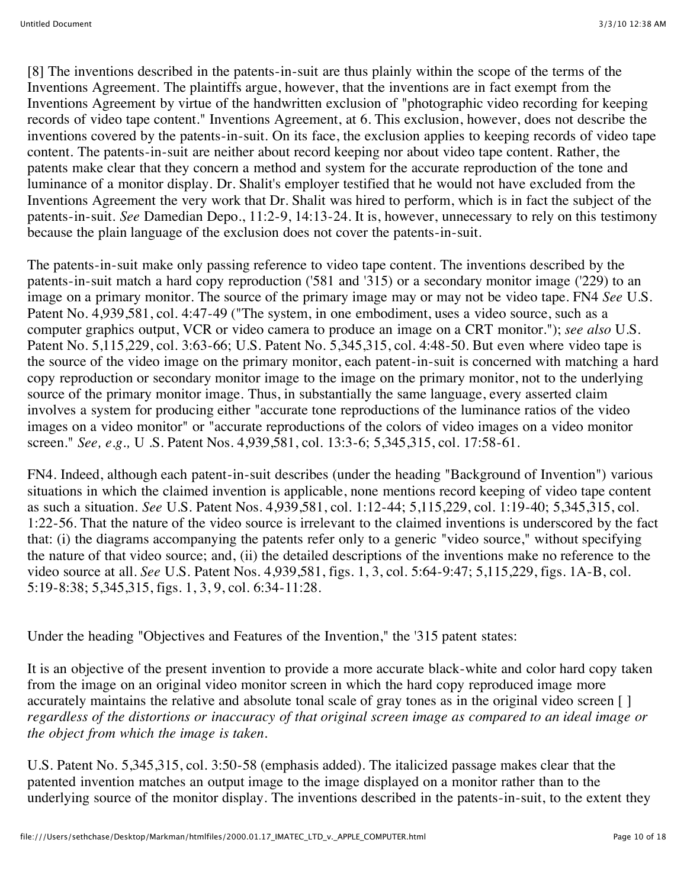[8] The inventions described in the patents-in-suit are thus plainly within the scope of the terms of the Inventions Agreement. The plaintiffs argue, however, that the inventions are in fact exempt from the Inventions Agreement by virtue of the handwritten exclusion of "photographic video recording for keeping records of video tape content." Inventions Agreement, at 6. This exclusion, however, does not describe the inventions covered by the patents-in-suit. On its face, the exclusion applies to keeping records of video tape content. The patents-in-suit are neither about record keeping nor about video tape content. Rather, the patents make clear that they concern a method and system for the accurate reproduction of the tone and luminance of a monitor display. Dr. Shalit's employer testified that he would not have excluded from the Inventions Agreement the very work that Dr. Shalit was hired to perform, which is in fact the subject of the patents-in-suit. *See* Damedian Depo., 11:2-9, 14:13-24. It is, however, unnecessary to rely on this testimony because the plain language of the exclusion does not cover the patents-in-suit.

The patents-in-suit make only passing reference to video tape content. The inventions described by the patents-in-suit match a hard copy reproduction ('581 and '315) or a secondary monitor image ('229) to an image on a primary monitor. The source of the primary image may or may not be video tape. FN4 *See* U.S. Patent No. 4,939,581, col. 4:47-49 ("The system, in one embodiment, uses a video source, such as a computer graphics output, VCR or video camera to produce an image on a CRT monitor."); *see also* U.S. Patent No. 5,115,229, col. 3:63-66; U.S. Patent No. 5,345,315, col. 4:48-50. But even where video tape is the source of the video image on the primary monitor, each patent-in-suit is concerned with matching a hard copy reproduction or secondary monitor image to the image on the primary monitor, not to the underlying source of the primary monitor image. Thus, in substantially the same language, every asserted claim involves a system for producing either "accurate tone reproductions of the luminance ratios of the video images on a video monitor" or "accurate reproductions of the colors of video images on a video monitor screen." *See, e.g.,* U .S. Patent Nos. 4,939,581, col. 13:3-6; 5,345,315, col. 17:58-61.

FN4. Indeed, although each patent-in-suit describes (under the heading "Background of Invention") various situations in which the claimed invention is applicable, none mentions record keeping of video tape content as such a situation. *See* U.S. Patent Nos. 4,939,581, col. 1:12-44; 5,115,229, col. 1:19-40; 5,345,315, col. 1:22-56. That the nature of the video source is irrelevant to the claimed inventions is underscored by the fact that: (i) the diagrams accompanying the patents refer only to a generic "video source," without specifying the nature of that video source; and, (ii) the detailed descriptions of the inventions make no reference to the video source at all. *See* U.S. Patent Nos. 4,939,581, figs. 1, 3, col. 5:64-9:47; 5,115,229, figs. 1A-B, col. 5:19-8:38; 5,345,315, figs. 1, 3, 9, col. 6:34-11:28.

Under the heading "Objectives and Features of the Invention," the '315 patent states:

It is an objective of the present invention to provide a more accurate black-white and color hard copy taken from the image on an original video monitor screen in which the hard copy reproduced image more accurately maintains the relative and absolute tonal scale of gray tones as in the original video screen [ ] *regardless of the distortions or inaccuracy of that original screen image as compared to an ideal image or the object from which the image is taken.*

U.S. Patent No. 5,345,315, col. 3:50-58 (emphasis added). The italicized passage makes clear that the patented invention matches an output image to the image displayed on a monitor rather than to the underlying source of the monitor display. The inventions described in the patents-in-suit, to the extent they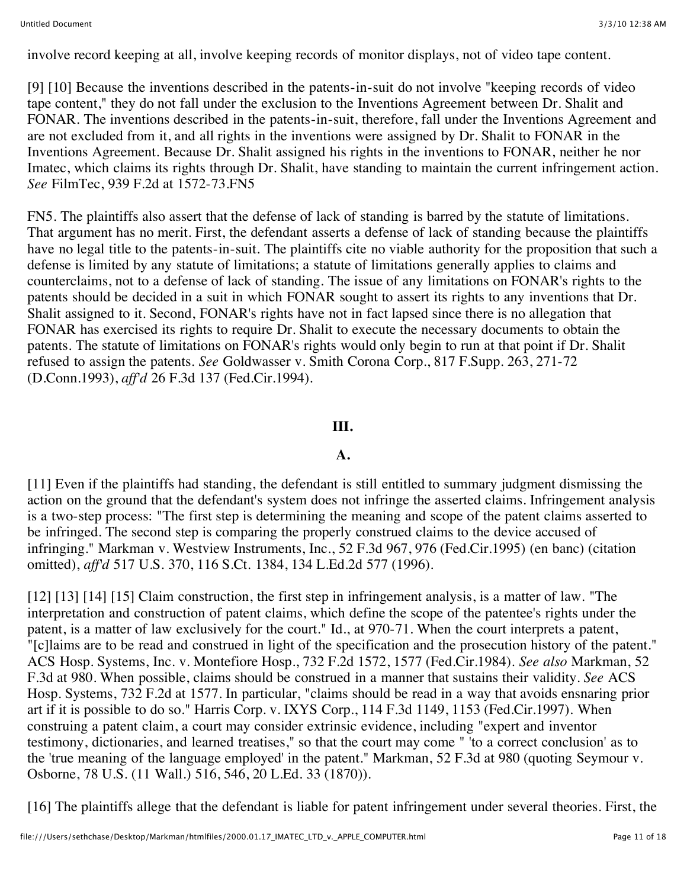involve record keeping at all, involve keeping records of monitor displays, not of video tape content.

[9] [10] Because the inventions described in the patents-in-suit do not involve "keeping records of video tape content," they do not fall under the exclusion to the Inventions Agreement between Dr. Shalit and FONAR. The inventions described in the patents-in-suit, therefore, fall under the Inventions Agreement and are not excluded from it, and all rights in the inventions were assigned by Dr. Shalit to FONAR in the Inventions Agreement. Because Dr. Shalit assigned his rights in the inventions to FONAR, neither he nor Imatec, which claims its rights through Dr. Shalit, have standing to maintain the current infringement action. *See* FilmTec, 939 F.2d at 1572-73.FN5

FN5. The plaintiffs also assert that the defense of lack of standing is barred by the statute of limitations. That argument has no merit. First, the defendant asserts a defense of lack of standing because the plaintiffs have no legal title to the patents-in-suit. The plaintiffs cite no viable authority for the proposition that such a defense is limited by any statute of limitations; a statute of limitations generally applies to claims and counterclaims, not to a defense of lack of standing. The issue of any limitations on FONAR's rights to the patents should be decided in a suit in which FONAR sought to assert its rights to any inventions that Dr. Shalit assigned to it. Second, FONAR's rights have not in fact lapsed since there is no allegation that FONAR has exercised its rights to require Dr. Shalit to execute the necessary documents to obtain the patents. The statute of limitations on FONAR's rights would only begin to run at that point if Dr. Shalit refused to assign the patents. *See* Goldwasser v. Smith Corona Corp., 817 F.Supp. 263, 271-72 (D.Conn.1993), *aff'd* 26 F.3d 137 (Fed.Cir.1994).

## **III.**

## **A.**

[11] Even if the plaintiffs had standing, the defendant is still entitled to summary judgment dismissing the action on the ground that the defendant's system does not infringe the asserted claims. Infringement analysis is a two-step process: "The first step is determining the meaning and scope of the patent claims asserted to be infringed. The second step is comparing the properly construed claims to the device accused of infringing." Markman v. Westview Instruments, Inc., 52 F.3d 967, 976 (Fed.Cir.1995) (en banc) (citation omitted), *aff'd* 517 U.S. 370, 116 S.Ct. 1384, 134 L.Ed.2d 577 (1996).

[12] [13] [14] [15] Claim construction, the first step in infringement analysis, is a matter of law. "The interpretation and construction of patent claims, which define the scope of the patentee's rights under the patent, is a matter of law exclusively for the court." Id., at 970-71. When the court interprets a patent, "[c]laims are to be read and construed in light of the specification and the prosecution history of the patent." ACS Hosp. Systems, Inc. v. Montefiore Hosp., 732 F.2d 1572, 1577 (Fed.Cir.1984). *See also* Markman, 52 F.3d at 980. When possible, claims should be construed in a manner that sustains their validity. *See* ACS Hosp. Systems, 732 F.2d at 1577. In particular, "claims should be read in a way that avoids ensnaring prior art if it is possible to do so." Harris Corp. v. IXYS Corp., 114 F.3d 1149, 1153 (Fed.Cir.1997). When construing a patent claim, a court may consider extrinsic evidence, including "expert and inventor testimony, dictionaries, and learned treatises," so that the court may come " 'to a correct conclusion' as to the 'true meaning of the language employed' in the patent." Markman, 52 F.3d at 980 (quoting Seymour v. Osborne, 78 U.S. (11 Wall.) 516, 546, 20 L.Ed. 33 (1870)).

[16] The plaintiffs allege that the defendant is liable for patent infringement under several theories. First, the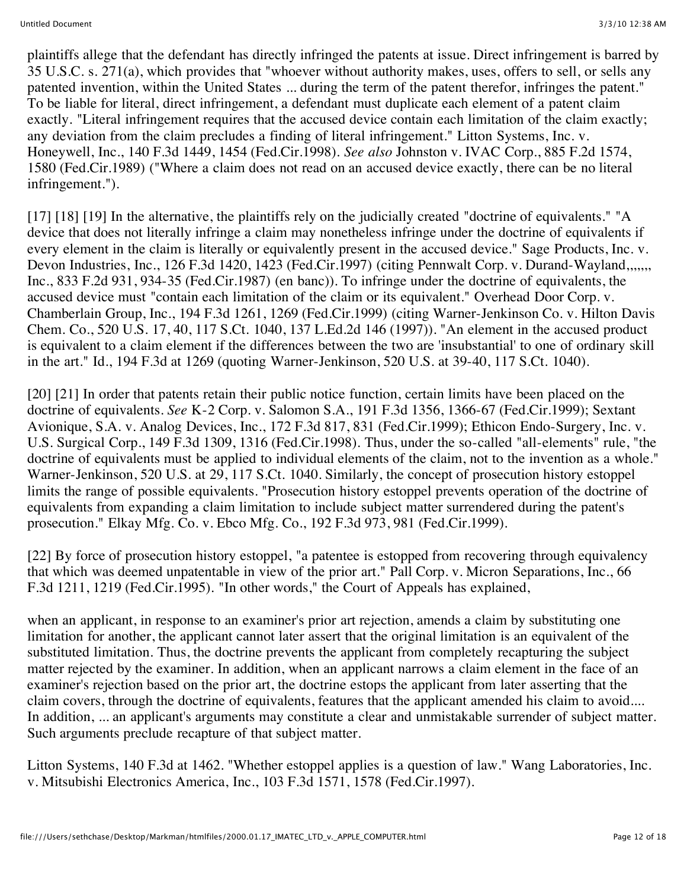plaintiffs allege that the defendant has directly infringed the patents at issue. Direct infringement is barred by 35 U.S.C. s. 271(a), which provides that "whoever without authority makes, uses, offers to sell, or sells any patented invention, within the United States ... during the term of the patent therefor, infringes the patent." To be liable for literal, direct infringement, a defendant must duplicate each element of a patent claim exactly. "Literal infringement requires that the accused device contain each limitation of the claim exactly; any deviation from the claim precludes a finding of literal infringement." Litton Systems, Inc. v. Honeywell, Inc., 140 F.3d 1449, 1454 (Fed.Cir.1998). *See also* Johnston v. IVAC Corp., 885 F.2d 1574, 1580 (Fed.Cir.1989) ("Where a claim does not read on an accused device exactly, there can be no literal infringement.").

[17] [18] [19] In the alternative, the plaintiffs rely on the judicially created "doctrine of equivalents." "A device that does not literally infringe a claim may nonetheless infringe under the doctrine of equivalents if every element in the claim is literally or equivalently present in the accused device." Sage Products, Inc. v. Devon Industries, Inc., 126 F.3d 1420, 1423 (Fed.Cir.1997) (citing Pennwalt Corp. v. Durand-Wayland,,,,,,, Inc., 833 F.2d 931, 934-35 (Fed.Cir.1987) (en banc)). To infringe under the doctrine of equivalents, the accused device must "contain each limitation of the claim or its equivalent." Overhead Door Corp. v. Chamberlain Group, Inc., 194 F.3d 1261, 1269 (Fed.Cir.1999) (citing Warner-Jenkinson Co. v. Hilton Davis Chem. Co., 520 U.S. 17, 40, 117 S.Ct. 1040, 137 L.Ed.2d 146 (1997)). "An element in the accused product is equivalent to a claim element if the differences between the two are 'insubstantial' to one of ordinary skill in the art." Id., 194 F.3d at 1269 (quoting Warner-Jenkinson, 520 U.S. at 39-40, 117 S.Ct. 1040).

[20] [21] In order that patents retain their public notice function, certain limits have been placed on the doctrine of equivalents. *See* K-2 Corp. v. Salomon S.A., 191 F.3d 1356, 1366-67 (Fed.Cir.1999); Sextant Avionique, S.A. v. Analog Devices, Inc., 172 F.3d 817, 831 (Fed.Cir.1999); Ethicon Endo-Surgery, Inc. v. U.S. Surgical Corp., 149 F.3d 1309, 1316 (Fed.Cir.1998). Thus, under the so-called "all-elements" rule, "the doctrine of equivalents must be applied to individual elements of the claim, not to the invention as a whole." Warner-Jenkinson, 520 U.S. at 29, 117 S.Ct. 1040. Similarly, the concept of prosecution history estoppel limits the range of possible equivalents. "Prosecution history estoppel prevents operation of the doctrine of equivalents from expanding a claim limitation to include subject matter surrendered during the patent's prosecution." Elkay Mfg. Co. v. Ebco Mfg. Co., 192 F.3d 973, 981 (Fed.Cir.1999).

[22] By force of prosecution history estoppel, "a patentee is estopped from recovering through equivalency that which was deemed unpatentable in view of the prior art." Pall Corp. v. Micron Separations, Inc., 66 F.3d 1211, 1219 (Fed.Cir.1995). "In other words," the Court of Appeals has explained,

when an applicant, in response to an examiner's prior art rejection, amends a claim by substituting one limitation for another, the applicant cannot later assert that the original limitation is an equivalent of the substituted limitation. Thus, the doctrine prevents the applicant from completely recapturing the subject matter rejected by the examiner. In addition, when an applicant narrows a claim element in the face of an examiner's rejection based on the prior art, the doctrine estops the applicant from later asserting that the claim covers, through the doctrine of equivalents, features that the applicant amended his claim to avoid.... In addition, ... an applicant's arguments may constitute a clear and unmistakable surrender of subject matter. Such arguments preclude recapture of that subject matter.

Litton Systems, 140 F.3d at 1462. "Whether estoppel applies is a question of law." Wang Laboratories, Inc. v. Mitsubishi Electronics America, Inc., 103 F.3d 1571, 1578 (Fed.Cir.1997).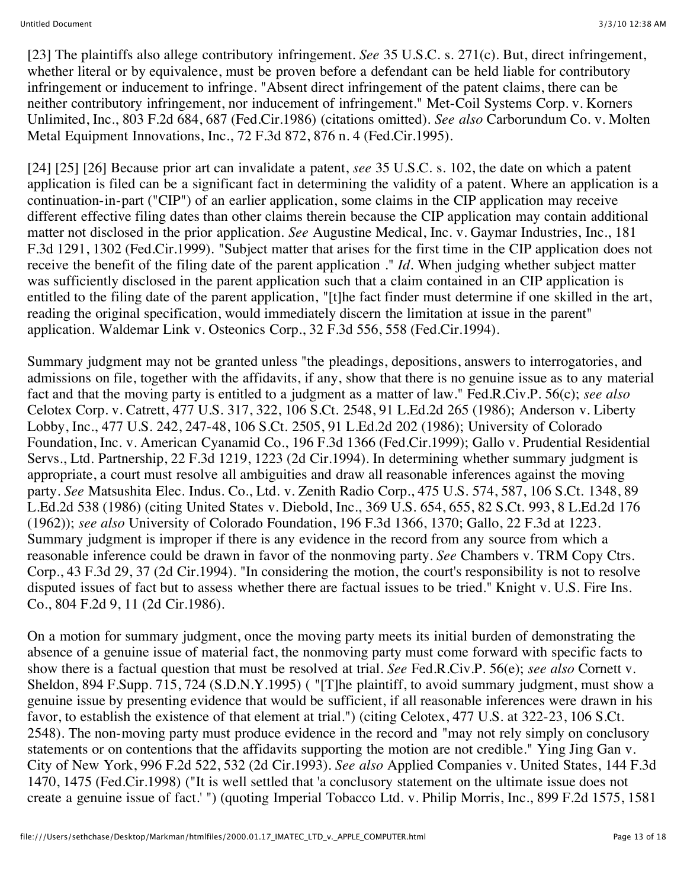[23] The plaintiffs also allege contributory infringement. *See* 35 U.S.C. s. 271(c). But, direct infringement, whether literal or by equivalence, must be proven before a defendant can be held liable for contributory infringement or inducement to infringe. "Absent direct infringement of the patent claims, there can be neither contributory infringement, nor inducement of infringement." Met-Coil Systems Corp. v. Korners Unlimited, Inc., 803 F.2d 684, 687 (Fed.Cir.1986) (citations omitted). *See also* Carborundum Co. v. Molten Metal Equipment Innovations, Inc., 72 F.3d 872, 876 n. 4 (Fed.Cir.1995).

[24] [25] [26] Because prior art can invalidate a patent, *see* 35 U.S.C. s. 102, the date on which a patent application is filed can be a significant fact in determining the validity of a patent. Where an application is a continuation-in-part ("CIP") of an earlier application, some claims in the CIP application may receive different effective filing dates than other claims therein because the CIP application may contain additional matter not disclosed in the prior application. *See* Augustine Medical, Inc. v. Gaymar Industries, Inc., 181 F.3d 1291, 1302 (Fed.Cir.1999). "Subject matter that arises for the first time in the CIP application does not receive the benefit of the filing date of the parent application ." *Id.* When judging whether subject matter was sufficiently disclosed in the parent application such that a claim contained in an CIP application is entitled to the filing date of the parent application, "[t]he fact finder must determine if one skilled in the art, reading the original specification, would immediately discern the limitation at issue in the parent" application. Waldemar Link v. Osteonics Corp., 32 F.3d 556, 558 (Fed.Cir.1994).

Summary judgment may not be granted unless "the pleadings, depositions, answers to interrogatories, and admissions on file, together with the affidavits, if any, show that there is no genuine issue as to any material fact and that the moving party is entitled to a judgment as a matter of law." Fed.R.Civ.P. 56(c); *see also* Celotex Corp. v. Catrett, 477 U.S. 317, 322, 106 S.Ct. 2548, 91 L.Ed.2d 265 (1986); Anderson v. Liberty Lobby, Inc., 477 U.S. 242, 247-48, 106 S.Ct. 2505, 91 L.Ed.2d 202 (1986); University of Colorado Foundation, Inc. v. American Cyanamid Co., 196 F.3d 1366 (Fed.Cir.1999); Gallo v. Prudential Residential Servs., Ltd. Partnership, 22 F.3d 1219, 1223 (2d Cir.1994). In determining whether summary judgment is appropriate, a court must resolve all ambiguities and draw all reasonable inferences against the moving party. *See* Matsushita Elec. Indus. Co., Ltd. v. Zenith Radio Corp., 475 U.S. 574, 587, 106 S.Ct. 1348, 89 L.Ed.2d 538 (1986) (citing United States v. Diebold, Inc., 369 U.S. 654, 655, 82 S.Ct. 993, 8 L.Ed.2d 176 (1962)); *see also* University of Colorado Foundation, 196 F.3d 1366, 1370; Gallo, 22 F.3d at 1223. Summary judgment is improper if there is any evidence in the record from any source from which a reasonable inference could be drawn in favor of the nonmoving party. *See* Chambers v. TRM Copy Ctrs. Corp., 43 F.3d 29, 37 (2d Cir.1994). "In considering the motion, the court's responsibility is not to resolve disputed issues of fact but to assess whether there are factual issues to be tried." Knight v. U.S. Fire Ins. Co., 804 F.2d 9, 11 (2d Cir.1986).

On a motion for summary judgment, once the moving party meets its initial burden of demonstrating the absence of a genuine issue of material fact, the nonmoving party must come forward with specific facts to show there is a factual question that must be resolved at trial. *See* Fed.R.Civ.P. 56(e); *see also* Cornett v. Sheldon, 894 F.Supp. 715, 724 (S.D.N.Y.1995) ( "[T]he plaintiff, to avoid summary judgment, must show a genuine issue by presenting evidence that would be sufficient, if all reasonable inferences were drawn in his favor, to establish the existence of that element at trial.") (citing Celotex, 477 U.S. at 322-23, 106 S.Ct. 2548). The non-moving party must produce evidence in the record and "may not rely simply on conclusory statements or on contentions that the affidavits supporting the motion are not credible." Ying Jing Gan v. City of New York, 996 F.2d 522, 532 (2d Cir.1993). *See also* Applied Companies v. United States, 144 F.3d 1470, 1475 (Fed.Cir.1998) ("It is well settled that 'a conclusory statement on the ultimate issue does not create a genuine issue of fact.' ") (quoting Imperial Tobacco Ltd. v. Philip Morris, Inc., 899 F.2d 1575, 1581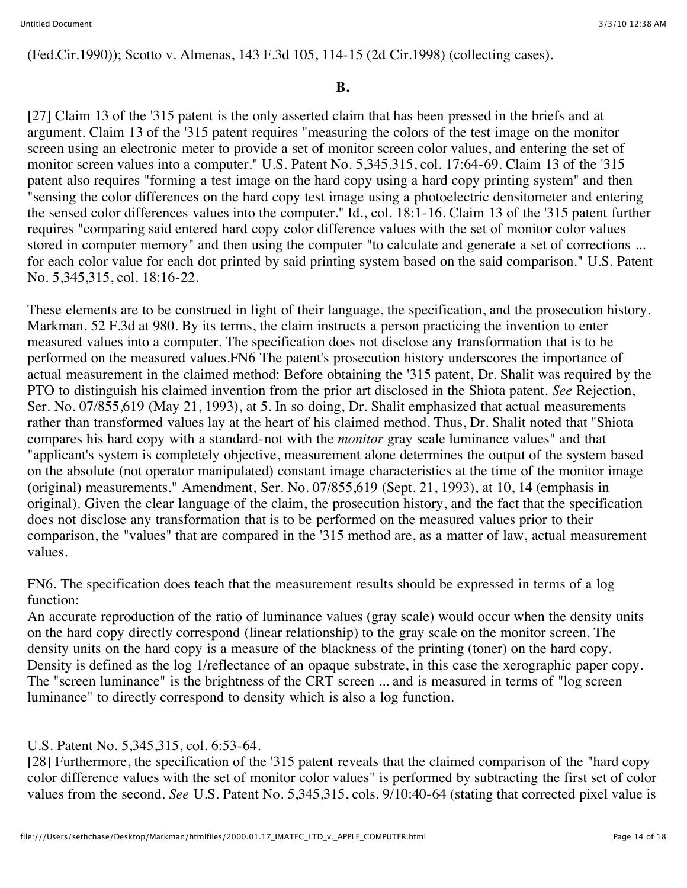(Fed.Cir.1990)); Scotto v. Almenas, 143 F.3d 105, 114-15 (2d Cir.1998) (collecting cases).

## **B.**

[27] Claim 13 of the '315 patent is the only asserted claim that has been pressed in the briefs and at argument. Claim 13 of the '315 patent requires "measuring the colors of the test image on the monitor screen using an electronic meter to provide a set of monitor screen color values, and entering the set of monitor screen values into a computer." U.S. Patent No. 5,345,315, col. 17:64-69. Claim 13 of the '315 patent also requires "forming a test image on the hard copy using a hard copy printing system" and then "sensing the color differences on the hard copy test image using a photoelectric densitometer and entering the sensed color differences values into the computer." Id., col. 18:1-16. Claim 13 of the '315 patent further requires "comparing said entered hard copy color difference values with the set of monitor color values stored in computer memory" and then using the computer "to calculate and generate a set of corrections ... for each color value for each dot printed by said printing system based on the said comparison." U.S. Patent No. 5,345,315, col. 18:16-22.

These elements are to be construed in light of their language, the specification, and the prosecution history. Markman, 52 F.3d at 980. By its terms, the claim instructs a person practicing the invention to enter measured values into a computer. The specification does not disclose any transformation that is to be performed on the measured values.FN6 The patent's prosecution history underscores the importance of actual measurement in the claimed method: Before obtaining the '315 patent, Dr. Shalit was required by the PTO to distinguish his claimed invention from the prior art disclosed in the Shiota patent. *See* Rejection, Ser. No. 07/855,619 (May 21, 1993), at 5. In so doing, Dr. Shalit emphasized that actual measurements rather than transformed values lay at the heart of his claimed method. Thus, Dr. Shalit noted that "Shiota compares his hard copy with a standard-not with the *monitor* gray scale luminance values" and that "applicant's system is completely objective, measurement alone determines the output of the system based on the absolute (not operator manipulated) constant image characteristics at the time of the monitor image (original) measurements." Amendment, Ser. No. 07/855,619 (Sept. 21, 1993), at 10, 14 (emphasis in original). Given the clear language of the claim, the prosecution history, and the fact that the specification does not disclose any transformation that is to be performed on the measured values prior to their comparison, the "values" that are compared in the '315 method are, as a matter of law, actual measurement values.

FN6. The specification does teach that the measurement results should be expressed in terms of a log function:

An accurate reproduction of the ratio of luminance values (gray scale) would occur when the density units on the hard copy directly correspond (linear relationship) to the gray scale on the monitor screen. The density units on the hard copy is a measure of the blackness of the printing (toner) on the hard copy. Density is defined as the log 1/reflectance of an opaque substrate, in this case the xerographic paper copy. The "screen luminance" is the brightness of the CRT screen ... and is measured in terms of "log screen luminance" to directly correspond to density which is also a log function.

## U.S. Patent No. 5,345,315, col. 6:53-64.

[28] Furthermore, the specification of the '315 patent reveals that the claimed comparison of the "hard copy color difference values with the set of monitor color values" is performed by subtracting the first set of color values from the second. *See* U.S. Patent No. 5,345,315, cols. 9/10:40-64 (stating that corrected pixel value is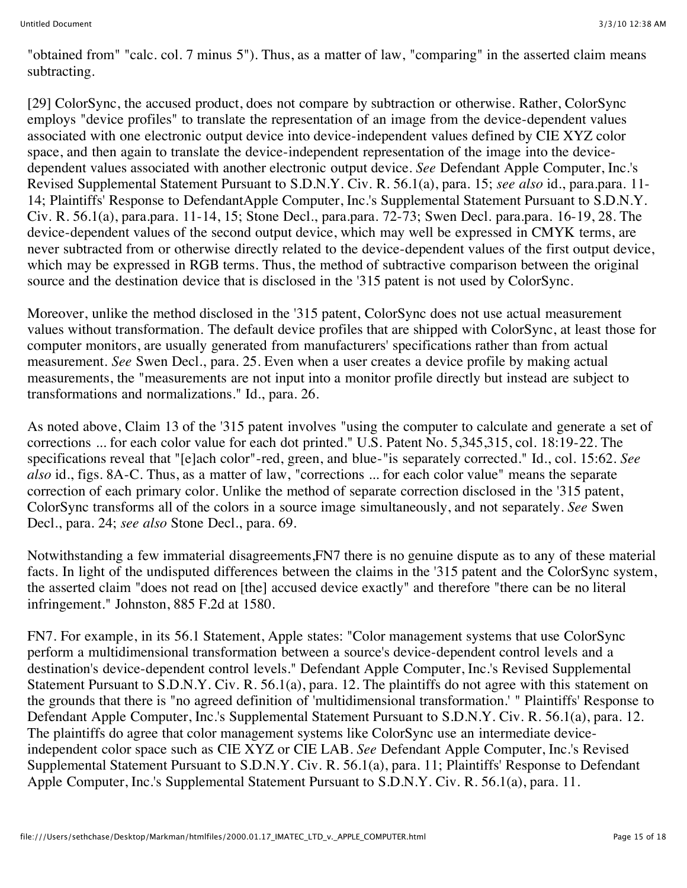"obtained from" "calc. col. 7 minus 5"). Thus, as a matter of law, "comparing" in the asserted claim means subtracting.

[29] ColorSync, the accused product, does not compare by subtraction or otherwise. Rather, ColorSync employs "device profiles" to translate the representation of an image from the device-dependent values associated with one electronic output device into device-independent values defined by CIE XYZ color space, and then again to translate the device-independent representation of the image into the devicedependent values associated with another electronic output device. *See* Defendant Apple Computer, Inc.'s Revised Supplemental Statement Pursuant to S.D.N.Y. Civ. R. 56.1(a), para. 15; *see also* id., para.para. 11- 14; Plaintiffs' Response to DefendantApple Computer, Inc.'s Supplemental Statement Pursuant to S.D.N.Y. Civ. R. 56.1(a), para.para. 11-14, 15; Stone Decl., para.para. 72-73; Swen Decl. para.para. 16-19, 28. The device-dependent values of the second output device, which may well be expressed in CMYK terms, are never subtracted from or otherwise directly related to the device-dependent values of the first output device, which may be expressed in RGB terms. Thus, the method of subtractive comparison between the original source and the destination device that is disclosed in the '315 patent is not used by ColorSync.

Moreover, unlike the method disclosed in the '315 patent, ColorSync does not use actual measurement values without transformation. The default device profiles that are shipped with ColorSync, at least those for computer monitors, are usually generated from manufacturers' specifications rather than from actual measurement. *See* Swen Decl., para. 25. Even when a user creates a device profile by making actual measurements, the "measurements are not input into a monitor profile directly but instead are subject to transformations and normalizations." Id., para. 26.

As noted above, Claim 13 of the '315 patent involves "using the computer to calculate and generate a set of corrections ... for each color value for each dot printed." U.S. Patent No. 5,345,315, col. 18:19-22. The specifications reveal that "[e]ach color"-red, green, and blue-"is separately corrected." Id., col. 15:62. *See also* id., figs. 8A-C. Thus, as a matter of law, "corrections ... for each color value" means the separate correction of each primary color. Unlike the method of separate correction disclosed in the '315 patent, ColorSync transforms all of the colors in a source image simultaneously, and not separately. *See* Swen Decl., para. 24; *see also* Stone Decl., para. 69.

Notwithstanding a few immaterial disagreements,FN7 there is no genuine dispute as to any of these material facts. In light of the undisputed differences between the claims in the '315 patent and the ColorSync system, the asserted claim "does not read on [the] accused device exactly" and therefore "there can be no literal infringement." Johnston, 885 F.2d at 1580.

FN7. For example, in its 56.1 Statement, Apple states: "Color management systems that use ColorSync perform a multidimensional transformation between a source's device-dependent control levels and a destination's device-dependent control levels." Defendant Apple Computer, Inc.'s Revised Supplemental Statement Pursuant to S.D.N.Y. Civ. R. 56.1(a), para. 12. The plaintiffs do not agree with this statement on the grounds that there is "no agreed definition of 'multidimensional transformation.' " Plaintiffs' Response to Defendant Apple Computer, Inc.'s Supplemental Statement Pursuant to S.D.N.Y. Civ. R. 56.1(a), para. 12. The plaintiffs do agree that color management systems like ColorSync use an intermediate deviceindependent color space such as CIE XYZ or CIE LAB. *See* Defendant Apple Computer, Inc.'s Revised Supplemental Statement Pursuant to S.D.N.Y. Civ. R. 56.1(a), para. 11; Plaintiffs' Response to Defendant Apple Computer, Inc.'s Supplemental Statement Pursuant to S.D.N.Y. Civ. R. 56.1(a), para. 11.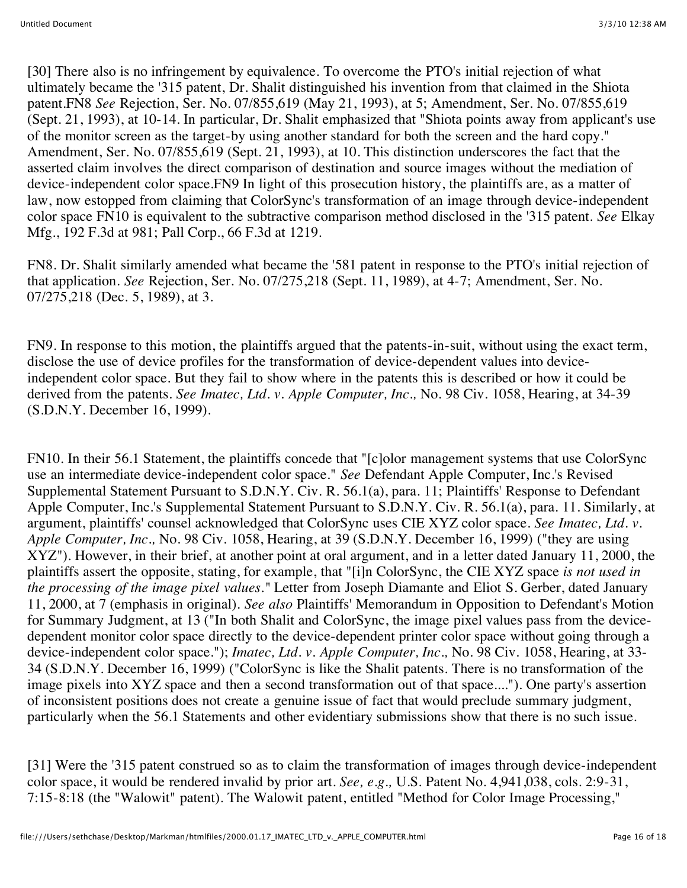[30] There also is no infringement by equivalence. To overcome the PTO's initial rejection of what ultimately became the '315 patent, Dr. Shalit distinguished his invention from that claimed in the Shiota patent.FN8 *See* Rejection, Ser. No. 07/855,619 (May 21, 1993), at 5; Amendment, Ser. No. 07/855,619 (Sept. 21, 1993), at 10-14. In particular, Dr. Shalit emphasized that "Shiota points away from applicant's use of the monitor screen as the target-by using another standard for both the screen and the hard copy." Amendment, Ser. No. 07/855,619 (Sept. 21, 1993), at 10. This distinction underscores the fact that the asserted claim involves the direct comparison of destination and source images without the mediation of device-independent color space.FN9 In light of this prosecution history, the plaintiffs are, as a matter of law, now estopped from claiming that ColorSync's transformation of an image through device-independent color space FN10 is equivalent to the subtractive comparison method disclosed in the '315 patent. *See* Elkay Mfg., 192 F.3d at 981; Pall Corp., 66 F.3d at 1219.

FN8. Dr. Shalit similarly amended what became the '581 patent in response to the PTO's initial rejection of that application. *See* Rejection, Ser. No. 07/275,218 (Sept. 11, 1989), at 4-7; Amendment, Ser. No. 07/275,218 (Dec. 5, 1989), at 3.

FN9. In response to this motion, the plaintiffs argued that the patents-in-suit, without using the exact term, disclose the use of device profiles for the transformation of device-dependent values into deviceindependent color space. But they fail to show where in the patents this is described or how it could be derived from the patents. *See Imatec, Ltd. v. Apple Computer, Inc.,* No. 98 Civ. 1058, Hearing, at 34-39 (S.D.N.Y. December 16, 1999).

FN10. In their 56.1 Statement, the plaintiffs concede that "[c]olor management systems that use ColorSync use an intermediate device-independent color space." *See* Defendant Apple Computer, Inc.'s Revised Supplemental Statement Pursuant to S.D.N.Y. Civ. R. 56.1(a), para. 11; Plaintiffs' Response to Defendant Apple Computer, Inc.'s Supplemental Statement Pursuant to S.D.N.Y. Civ. R. 56.1(a), para. 11. Similarly, at argument, plaintiffs' counsel acknowledged that ColorSync uses CIE XYZ color space. *See Imatec, Ltd. v. Apple Computer, Inc.,* No. 98 Civ. 1058, Hearing, at 39 (S.D.N.Y. December 16, 1999) ("they are using XYZ"). However, in their brief, at another point at oral argument, and in a letter dated January 11, 2000, the plaintiffs assert the opposite, stating, for example, that "[i]n ColorSync, the CIE XYZ space *is not used in the processing of the image pixel values."* Letter from Joseph Diamante and Eliot S. Gerber, dated January 11, 2000, at 7 (emphasis in original). *See also* Plaintiffs' Memorandum in Opposition to Defendant's Motion for Summary Judgment, at 13 ("In both Shalit and ColorSync, the image pixel values pass from the devicedependent monitor color space directly to the device-dependent printer color space without going through a device-independent color space."); *Imatec, Ltd. v. Apple Computer, Inc.,* No. 98 Civ. 1058, Hearing, at 33- 34 (S.D.N.Y. December 16, 1999) ("ColorSync is like the Shalit patents. There is no transformation of the image pixels into XYZ space and then a second transformation out of that space...."). One party's assertion of inconsistent positions does not create a genuine issue of fact that would preclude summary judgment, particularly when the 56.1 Statements and other evidentiary submissions show that there is no such issue.

[31] Were the '315 patent construed so as to claim the transformation of images through device-independent color space, it would be rendered invalid by prior art. *See, e.g.,* U.S. Patent No. 4,941,038, cols. 2:9-31, 7:15-8:18 (the "Walowit" patent). The Walowit patent, entitled "Method for Color Image Processing,"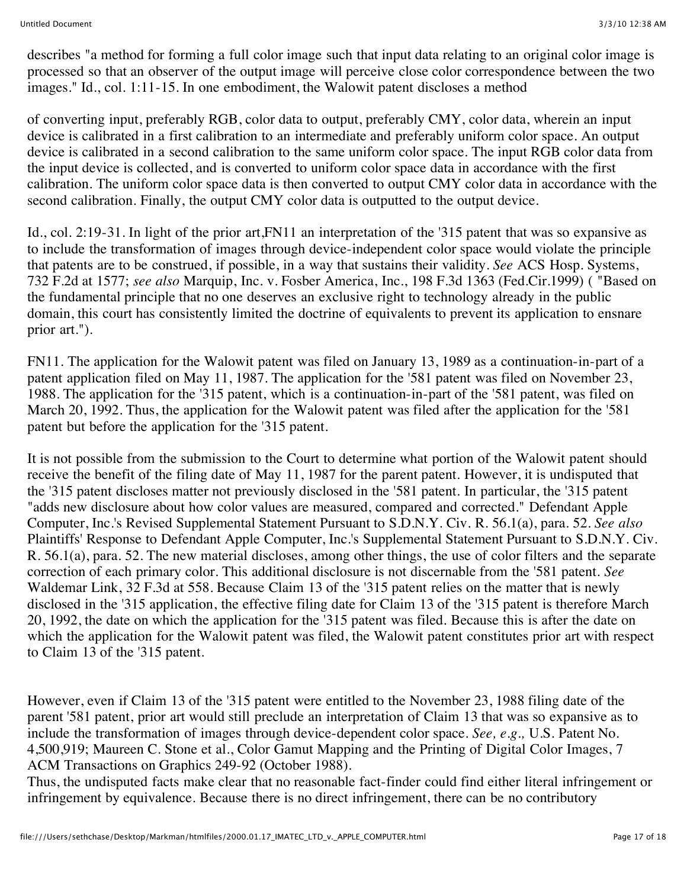describes "a method for forming a full color image such that input data relating to an original color image is processed so that an observer of the output image will perceive close color correspondence between the two images." Id., col. 1:11-15. In one embodiment, the Walowit patent discloses a method

of converting input, preferably RGB, color data to output, preferably CMY, color data, wherein an input device is calibrated in a first calibration to an intermediate and preferably uniform color space. An output device is calibrated in a second calibration to the same uniform color space. The input RGB color data from the input device is collected, and is converted to uniform color space data in accordance with the first calibration. The uniform color space data is then converted to output CMY color data in accordance with the second calibration. Finally, the output CMY color data is outputted to the output device.

Id., col. 2:19-31. In light of the prior art,FN11 an interpretation of the '315 patent that was so expansive as to include the transformation of images through device-independent color space would violate the principle that patents are to be construed, if possible, in a way that sustains their validity. *See* ACS Hosp. Systems, 732 F.2d at 1577; *see also* Marquip, Inc. v. Fosber America, Inc., 198 F.3d 1363 (Fed.Cir.1999) ( "Based on the fundamental principle that no one deserves an exclusive right to technology already in the public domain, this court has consistently limited the doctrine of equivalents to prevent its application to ensnare prior art.").

FN11. The application for the Walowit patent was filed on January 13, 1989 as a continuation-in-part of a patent application filed on May 11, 1987. The application for the '581 patent was filed on November 23, 1988. The application for the '315 patent, which is a continuation-in-part of the '581 patent, was filed on March 20, 1992. Thus, the application for the Walowit patent was filed after the application for the '581 patent but before the application for the '315 patent.

It is not possible from the submission to the Court to determine what portion of the Walowit patent should receive the benefit of the filing date of May 11, 1987 for the parent patent. However, it is undisputed that the '315 patent discloses matter not previously disclosed in the '581 patent. In particular, the '315 patent "adds new disclosure about how color values are measured, compared and corrected." Defendant Apple Computer, Inc.'s Revised Supplemental Statement Pursuant to S.D.N.Y. Civ. R. 56.1(a), para. 52. *See also* Plaintiffs' Response to Defendant Apple Computer, Inc.'s Supplemental Statement Pursuant to S.D.N.Y. Civ. R. 56.1(a), para. 52. The new material discloses, among other things, the use of color filters and the separate correction of each primary color. This additional disclosure is not discernable from the '581 patent. *See* Waldemar Link, 32 F.3d at 558. Because Claim 13 of the '315 patent relies on the matter that is newly disclosed in the '315 application, the effective filing date for Claim 13 of the '315 patent is therefore March 20, 1992, the date on which the application for the '315 patent was filed. Because this is after the date on which the application for the Walowit patent was filed, the Walowit patent constitutes prior art with respect to Claim 13 of the '315 patent.

However, even if Claim 13 of the '315 patent were entitled to the November 23, 1988 filing date of the parent '581 patent, prior art would still preclude an interpretation of Claim 13 that was so expansive as to include the transformation of images through device-dependent color space. *See, e.g.,* U.S. Patent No. 4,500,919; Maureen C. Stone et al., Color Gamut Mapping and the Printing of Digital Color Images, 7 ACM Transactions on Graphics 249-92 (October 1988).

Thus, the undisputed facts make clear that no reasonable fact-finder could find either literal infringement or infringement by equivalence. Because there is no direct infringement, there can be no contributory